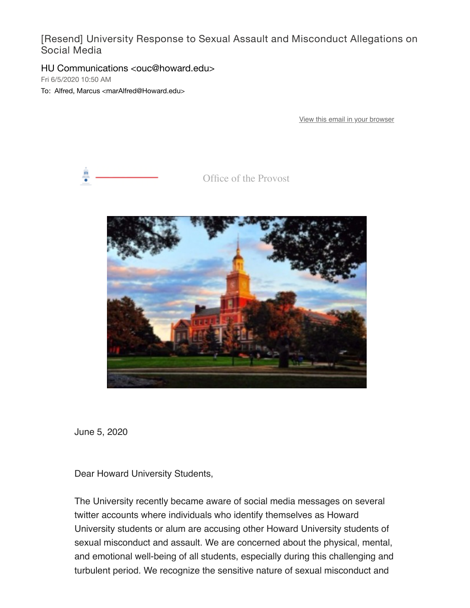[Resend] University Response to Sexual Assault and Misconduct Allegations on Social Media

HU Communications <ouc@howard.edu>

Fri 6/5/2020 10:50 AM

To: Alfred, Marcus <marAlfred@Howard.edu>

[View this email in your browser](https://nam04.safelinks.protection.outlook.com/?url=https%3A%2F%2Fmailchi.mp%2F255ad5685105%2Funiversity-response-to-sexual-assault-and-misconduct-allegations-on-social-media-610826%3Fe%3D0058eb68db&data=02%7C01%7CmarAlfred%40Howard.edu%7Cf48da3db8e9740d5d7e708d8095fc4f6%7C02ac0c07b75f46bf9b133630ba94bb69%7C0%7C0%7C637269654230006297&sdata=9gr8fEoKRCtDzsViVPKi0J8YIG%2FbVi%2BOVLqChQq30vk%3D&reserved=0)



Office of the Provost



June 5, 2020

Dear Howard University Students,

The University recently became aware of social media messages on several twitter accounts where individuals who identify themselves as Howard University students or alum are accusing other Howard University students of sexual misconduct and assault. We are concerned about the physical, mental, and emotional well-being of all students, especially during this challenging and turbulent period. We recognize the sensitive nature of sexual misconduct and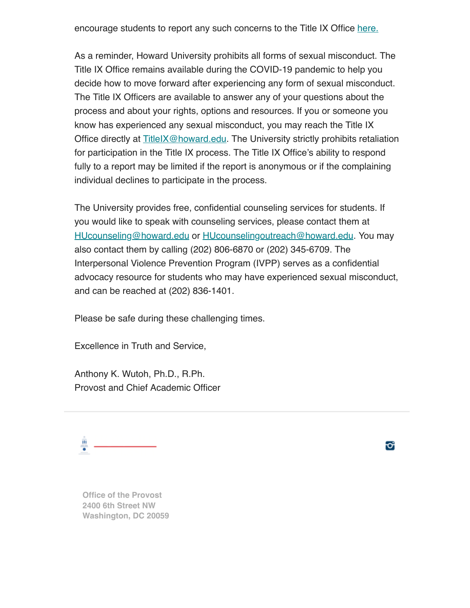encourage students to report any such concerns to the Title IX Office [here.](https://nam04.safelinks.protection.outlook.com/?url=https%3A%2F%2Fhoward.us3.list-manage.com%2Ftrack%2Fclick%3Fu%3Dda96b3e11d604fc7332653c0e%26id%3D6178fa5b9d%26e%3D0058eb68db&data=02%7C01%7CmarAlfred%40Howard.edu%7Cf48da3db8e9740d5d7e708d8095fc4f6%7C02ac0c07b75f46bf9b133630ba94bb69%7C0%7C0%7C637269654230006297&sdata=b6RYPPAK5EzfsfCdFLj5kMxeR2m%2FguFEevmUo09%2Fl2k%3D&reserved=0)

As a reminder, Howard University prohibits all forms of sexual misconduct. The Title IX Office remains available during the COVID-19 pandemic to help you decide how to move forward after experiencing any form of sexual misconduct. The Title IX Officers are available to answer any of your questions about the process and about your rights, options and resources. If you or someone you know has experienced any sexual misconduct, you may reach the Title IX Office directly at **TitleIX@howard.edu.** The University strictly prohibits retaliation for participation in the Title IX process. The Title IX Office's ability to respond fully to a report may be limited if the report is anonymous or if the complaining individual declines to participate in the process.

The University provides free, confidential counseling services for students. If you would like to speak with counseling services, please contact them at [HUcounseling@howard.edu](mailto:HUcounseling@howard.edu) or [HUcounselingoutreach@howard.edu](mailto:HUCounselingoutreach@howard.edu). You may also contact them by calling (202) 806-6870 or (202) 345-6709. The Interpersonal Violence Prevention Program (IVPP) serves as a confidential advocacy resource for students who may have experienced sexual misconduct, and can be reached at (202) 836-1401.

Please be safe during these challenging times.

Excellence in Truth and Service,

Anthony K. Wutoh, Ph.D., R.Ph. Provost and Chief Academic Officer

쁭

o

**Office of the Provost 2400 6th Street NW Washington, DC 20059**